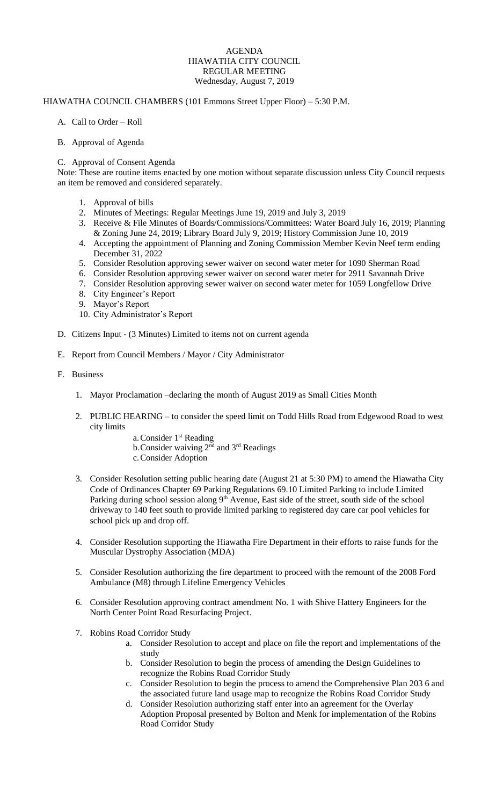# AGENDA HIAWATHA CITY COUNCIL REGULAR MEETING Wednesday, August 7, 2019

# HIAWATHA COUNCIL CHAMBERS (101 Emmons Street Upper Floor) – 5:30 P.M.

### A. Call to Order – Roll

### B. Approval of Agenda

### C. Approval of Consent Agenda

Note: These are routine items enacted by one motion without separate discussion unless City Council requests an item be removed and considered separately.

- 1. Approval of bills
- 2. Minutes of Meetings: Regular Meetings June 19, 2019 and July 3, 2019
- 3. Receive & File Minutes of Boards/Commissions/Committees: Water Board July 16, 2019; Planning & Zoning June 24, 2019; Library Board July 9, 2019; History Commission June 10, 2019
- 4. Accepting the appointment of Planning and Zoning Commission Member Kevin Neef term ending December 31, 2022
- 5. Consider Resolution approving sewer waiver on second water meter for 1090 Sherman Road
- 6. Consider Resolution approving sewer waiver on second water meter for 2911 Savannah Drive
- 7. Consider Resolution approving sewer waiver on second water meter for 1059 Longfellow Drive
- 8. City Engineer's Report
- 9. Mayor's Report
- 10. City Administrator's Report
- D. Citizens Input (3 Minutes) Limited to items not on current agenda
- E. Report from Council Members / Mayor / City Administrator
- F. Business
	- 1. Mayor Proclamation –declaring the month of August 2019 as Small Cities Month
	- 2. PUBLIC HEARING to consider the speed limit on Todd Hills Road from Edgewood Road to west city limits
		- a. Consider  $1<sup>st</sup>$  Reading b.Consider waiving 2nd and 3rd Readings c.Consider Adoption
	- 3. Consider Resolution setting public hearing date (August 21 at 5:30 PM) to amend the Hiawatha City Code of Ordinances Chapter 69 Parking Regulations 69.10 Limited Parking to include Limited Parking during school session along 9<sup>th</sup> Avenue, East side of the street, south side of the school driveway to 140 feet south to provide limited parking to registered day care car pool vehicles for school pick up and drop off.
	- 4. Consider Resolution supporting the Hiawatha Fire Department in their efforts to raise funds for the Muscular Dystrophy Association (MDA)
	- 5. Consider Resolution authorizing the fire department to proceed with the remount of the 2008 Ford Ambulance (M8) through Lifeline Emergency Vehicles
	- 6. Consider Resolution approving contract amendment No. 1 with Shive Hattery Engineers for the North Center Point Road Resurfacing Project.
	- 7. Robins Road Corridor Study
		- a. Consider Resolution to accept and place on file the report and implementations of the study
		- b. Consider Resolution to begin the process of amending the Design Guidelines to recognize the Robins Road Corridor Study
		- c. Consider Resolution to begin the process to amend the Comprehensive Plan 203 6 and the associated future land usage map to recognize the Robins Road Corridor Study
		- d. Consider Resolution authorizing staff enter into an agreement for the Overlay Adoption Proposal presented by Bolton and Menk for implementation of the Robins Road Corridor Study